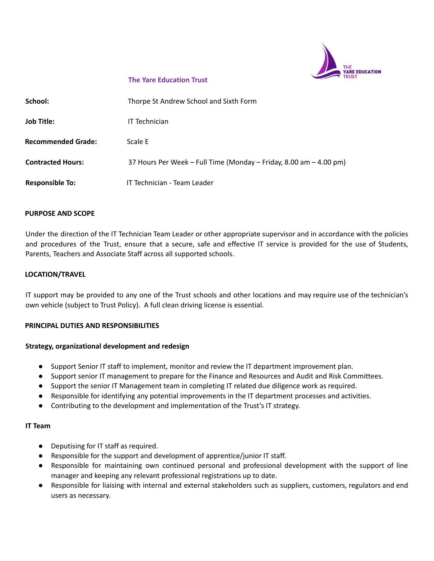

## **The Yare Education Trust**

| School:                   | Thorpe St Andrew School and Sixth Form                             |
|---------------------------|--------------------------------------------------------------------|
| <b>Job Title:</b>         | IT Technician                                                      |
| <b>Recommended Grade:</b> | Scale E                                                            |
| <b>Contracted Hours:</b>  | 37 Hours Per Week - Full Time (Monday - Friday, 8.00 am - 4.00 pm) |
| <b>Responsible To:</b>    | IT Technician - Team Leader                                        |

## **PURPOSE AND SCOPE**

Under the direction of the IT Technician Team Leader or other appropriate supervisor and in accordance with the policies and procedures of the Trust, ensure that a secure, safe and effective IT service is provided for the use of Students, Parents, Teachers and Associate Staff across all supported schools.

## **LOCATION/TRAVEL**

IT support may be provided to any one of the Trust schools and other locations and may require use of the technician's own vehicle (subject to Trust Policy). A full clean driving license is essential.

## **PRINCIPAL DUTIES AND RESPONSIBILITIES**

## **Strategy, organizational development and redesign**

- Support Senior IT staff to implement, monitor and review the IT department improvement plan.
- Support senior IT management to prepare for the Finance and Resources and Audit and Risk Committees.
- Support the senior IT Management team in completing IT related due diligence work as required.
- Responsible for identifying any potential improvements in the IT department processes and activities.
- Contributing to the development and implementation of the Trust's IT strategy.

## **IT Team**

- Deputising for IT staff as required.
- Responsible for the support and development of apprentice/junior IT staff.
- Responsible for maintaining own continued personal and professional development with the support of line manager and keeping any relevant professional registrations up to date.
- Responsible for liaising with internal and external stakeholders such as suppliers, customers, regulators and end users as necessary.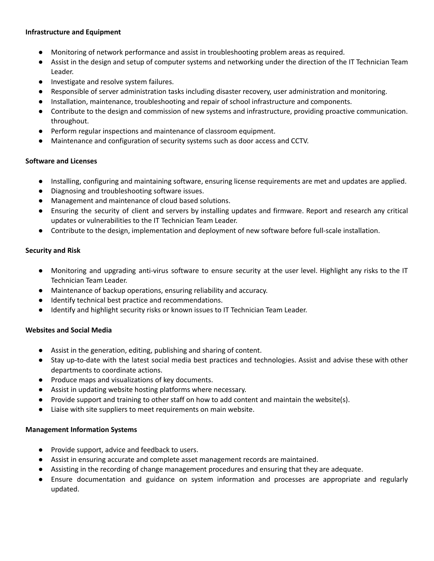## **Infrastructure and Equipment**

- Monitoring of network performance and assist in troubleshooting problem areas as required.
- Assist in the design and setup of computer systems and networking under the direction of the IT Technician Team Leader.
- Investigate and resolve system failures.
- Responsible of server administration tasks including disaster recovery, user administration and monitoring.
- Installation, maintenance, troubleshooting and repair of school infrastructure and components.
- Contribute to the design and commission of new systems and infrastructure, providing proactive communication. throughout.
- Perform regular inspections and maintenance of classroom equipment.
- Maintenance and configuration of security systems such as door access and CCTV.

# **Software and Licenses**

- Installing, configuring and maintaining software, ensuring license requirements are met and updates are applied.
- Diagnosing and troubleshooting software issues.
- Management and maintenance of cloud based solutions.
- Ensuring the security of client and servers by installing updates and firmware. Report and research any critical updates or vulnerabilities to the IT Technician Team Leader.
- Contribute to the design, implementation and deployment of new software before full-scale installation.

# **Security and Risk**

- Monitoring and upgrading anti-virus software to ensure security at the user level. Highlight any risks to the IT Technician Team Leader.
- Maintenance of backup operations, ensuring reliability and accuracy.
- Identify technical best practice and recommendations.
- Identify and highlight security risks or known issues to IT Technician Team Leader.

# **Websites and Social Media**

- Assist in the generation, editing, publishing and sharing of content.
- Stay up-to-date with the latest social media best practices and technologies. Assist and advise these with other departments to coordinate actions.
- Produce maps and visualizations of key documents.
- Assist in updating website hosting platforms where necessary.
- Provide support and training to other staff on how to add content and maintain the website(s).
- Liaise with site suppliers to meet requirements on main website.

# **Management Information Systems**

- Provide support, advice and feedback to users.
- Assist in ensuring accurate and complete asset management records are maintained.
- Assisting in the recording of change management procedures and ensuring that they are adequate.
- Ensure documentation and guidance on system information and processes are appropriate and regularly updated.